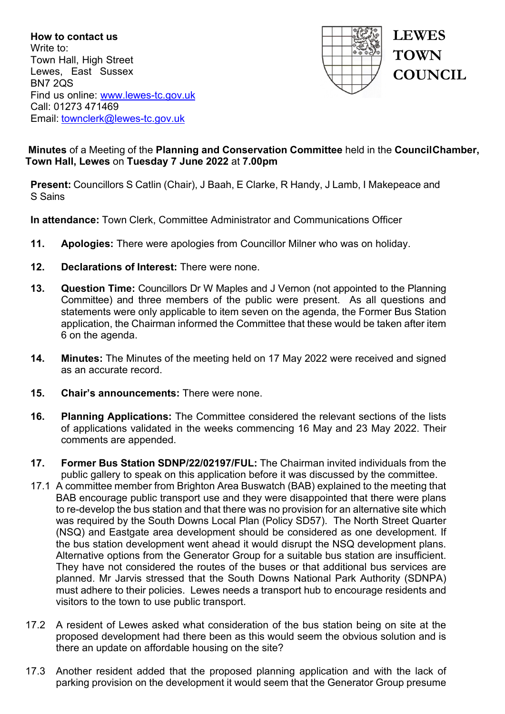**How to contact us** Write to: Town Hall, High Street Lewes, East Sussex BN7 2QS Find us online: [www.lewes-tc.gov.uk](http://www.lewes-tc.gov.uk/) Call: 01273 471469 Email: [townclerk@lewes-tc.gov.uk](mailto:townclerk@lewes-tc.gov.uk)



# **Minutes** of a Meeting of the **Planning and Conservation Committee** held in the **Council Chamber, Town Hall, Lewes** on **Tuesday 7 June 2022** at **7.00pm**

**Present:** Councillors S Catlin (Chair), J Baah, E Clarke, R Handy, J Lamb, I Makepeace and S Sains

**In attendance:** Town Clerk, Committee Administrator and Communications Officer

- **11. Apologies:** There were apologies from Councillor Milner who was on holiday.
- **12. Declarations of Interest:** There were none.
- **13. Question Time:** Councillors Dr W Maples and J Vernon (not appointed to the Planning Committee) and three members of the public were present. As all questions and statements were only applicable to item seven on the agenda, the Former Bus Station application, the Chairman informed the Committee that these would be taken after item 6 on the agenda.
- **14. Minutes:** The Minutes of the meeting held on 17 May 2022 were received and signed as an accurate record.
- **15. Chair's announcements:** There were none.
- **16. Planning Applications:** The Committee considered the relevant sections of the lists of applications validated in the weeks commencing 16 May and 23 May 2022. Their comments are appended.
- **17. Former Bus Station SDNP/22/02197/FUL:** The Chairman invited individuals from the public gallery to speak on this application before it was discussed by the committee.
- 17.1 A committee member from Brighton Area Buswatch (BAB) explained to the meeting that BAB encourage public transport use and they were disappointed that there were plans to re-develop the bus station and that there was no provision for an alternative site which was required by the South Downs Local Plan (Policy SD57). The North Street Quarter (NSQ) and Eastgate area development should be considered as one development. If the bus station development went ahead it would disrupt the NSQ development plans. Alternative options from the Generator Group for a suitable bus station are insufficient. They have not considered the routes of the buses or that additional bus services are planned. Mr Jarvis stressed that the South Downs National Park Authority (SDNPA) must adhere to their policies. Lewes needs a transport hub to encourage residents and visitors to the town to use public transport.
- 17.2 A resident of Lewes asked what consideration of the bus station being on site at the proposed development had there been as this would seem the obvious solution and is there an update on affordable housing on the site?
- 17.3 Another resident added that the proposed planning application and with the lack of parking provision on the development it would seem that the Generator Group presume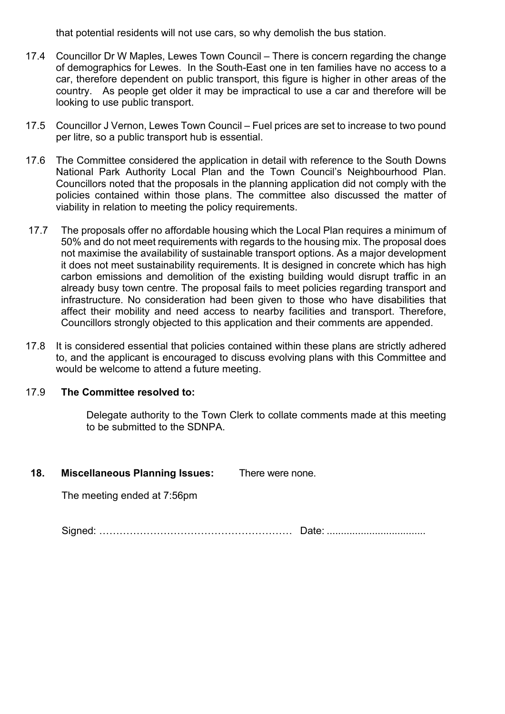that potential residents will not use cars, so why demolish the bus station.

- 17.4 Councillor Dr W Maples, Lewes Town Council There is concern regarding the change of demographics for Lewes. In the South-East one in ten families have no access to a car, therefore dependent on public transport, this figure is higher in other areas of the country. As people get older it may be impractical to use a car and therefore will be looking to use public transport.
- 17.5 Councillor J Vernon, Lewes Town Council Fuel prices are set to increase to two pound per litre, so a public transport hub is essential.
- 17.6 The Committee considered the application in detail with reference to the South Downs National Park Authority Local Plan and the Town Council's Neighbourhood Plan. Councillors noted that the proposals in the planning application did not comply with the policies contained within those plans. The committee also discussed the matter of viability in relation to meeting the policy requirements.
- 17.7 The proposals offer no affordable housing which the Local Plan requires a minimum of 50% and do not meet requirements with regards to the housing mix. The proposal does not maximise the availability of sustainable transport options. As a major development it does not meet sustainability requirements. It is designed in concrete which has high carbon emissions and demolition of the existing building would disrupt traffic in an already busy town centre. The proposal fails to meet policies regarding transport and infrastructure. No consideration had been given to those who have disabilities that affect their mobility and need access to nearby facilities and transport. Therefore, Councillors strongly objected to this application and their comments are appended.
- 17.8 It is considered essential that policies contained within these plans are strictly adhered to, and the applicant is encouraged to discuss evolving plans with this Committee and would be welcome to attend a future meeting.

# 17.9 **The Committee resolved to:**

Delegate authority to the Town Clerk to collate comments made at this meeting to be submitted to the SDNPA.

**18. Miscellaneous Planning Issues:** There were none.

The meeting ended at 7:56pm

Signed: ………………………………………………… Date: ...................................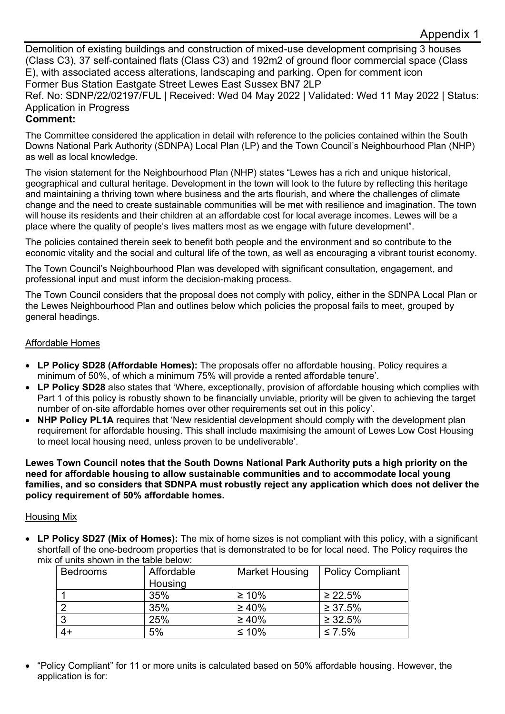Demolition of existing buildings and construction of mixed-use development comprising 3 houses (Class C3), 37 self-contained flats (Class C3) and 192m2 of ground floor commercial space (Class E), with associated access alterations, landscaping and parking. Open for comment icon Former Bus Station Eastgate Street Lewes East Sussex BN7 2LP

Ref. No: SDNP/22/02197/FUL | Received: Wed 04 May 2022 | Validated: Wed 11 May 2022 | Status: Application in Progress

## **Comment:**

The Committee considered the application in detail with reference to the policies contained within the South Downs National Park Authority (SDNPA) Local Plan (LP) and the Town Council's Neighbourhood Plan (NHP) as well as local knowledge.

The vision statement for the Neighbourhood Plan (NHP) states "Lewes has a rich and unique historical, geographical and cultural heritage. Development in the town will look to the future by reflecting this heritage and maintaining a thriving town where business and the arts flourish, and where the challenges of climate change and the need to create sustainable communities will be met with resilience and imagination. The town will house its residents and their children at an affordable cost for local average incomes. Lewes will be a place where the quality of people's lives matters most as we engage with future development".

The policies contained therein seek to benefit both people and the environment and so contribute to the economic vitality and the social and cultural life of the town, as well as encouraging a vibrant tourist economy.

The Town Council's Neighbourhood Plan was developed with significant consultation, engagement, and professional input and must inform the decision-making process.

The Town Council considers that the proposal does not comply with policy, either in the SDNPA Local Plan or the Lewes Neighbourhood Plan and outlines below which policies the proposal fails to meet, grouped by general headings.

## Affordable Homes

- **LP Policy SD28 (Affordable Homes):** The proposals offer no affordable housing. Policy requires a minimum of 50%, of which a minimum 75% will provide a rented affordable tenure'.
- **LP Policy SD28** also states that 'Where, exceptionally, provision of affordable housing which complies with Part 1 of this policy is robustly shown to be financially unviable, priority will be given to achieving the target number of on-site affordable homes over other requirements set out in this policy'.
- **NHP Policy PL1A** requires that 'New residential development should comply with the development plan requirement for affordable housing. This shall include maximising the amount of Lewes Low Cost Housing to meet local housing need, unless proven to be undeliverable'.

**Lewes Town Council notes that the South Downs National Park Authority puts a high priority on the need for affordable housing to allow sustainable communities and to accommodate local young families, and so considers that SDNPA must robustly reject any application which does not deliver the policy requirement of 50% affordable homes.**

#### Housing Mix

• **LP Policy SD27 (Mix of Homes):** The mix of home sizes is not compliant with this policy, with a significant shortfall of the one-bedroom properties that is demonstrated to be for local need. The Policy requires the mix of units shown in the table below:

| <b>Bedrooms</b> | Affordable<br>Housing | <b>Market Housing</b> | <b>Policy Compliant</b> |
|-----------------|-----------------------|-----------------------|-------------------------|
|                 | 35%                   | $\geq 10\%$           | $\geq 22.5\%$           |
| $\overline{2}$  | 35%                   | $\geq 40\%$           | $\geq 37.5\%$           |
| 3               | 25%                   | $\geq 40\%$           | $\geq 32.5\%$           |
| $4+$            | 5%                    | $≤ 10%$               | ≤ 7.5%                  |

• "Policy Compliant" for 11 or more units is calculated based on 50% affordable housing. However, the application is for: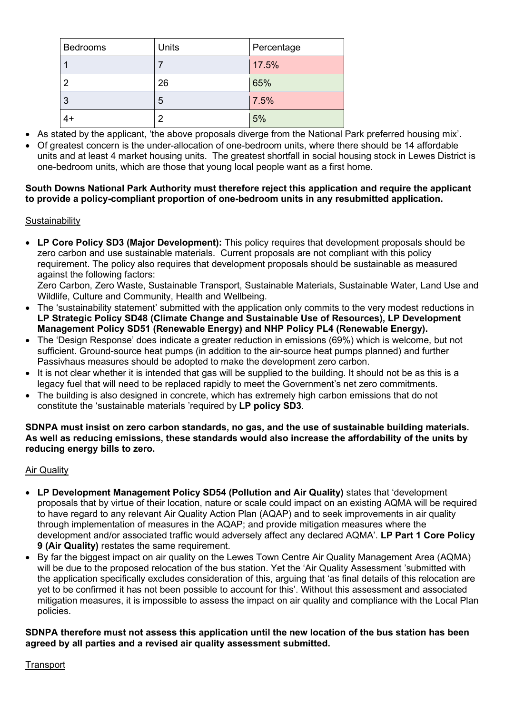| <b>Bedrooms</b> | Units | Percentage |
|-----------------|-------|------------|
|                 |       | 17.5%      |
|                 | 26    | 65%        |
| 3               | 5     | 7.5%       |
| $4+$            | っ     | 5%         |

- As stated by the applicant, 'the above proposals diverge from the National Park preferred housing mix'.
- Of greatest concern is the under-allocation of one-bedroom units, where there should be 14 affordable units and at least 4 market housing units. The greatest shortfall in social housing stock in Lewes District is one-bedroom units, which are those that young local people want as a first home.

### **South Downs National Park Authority must therefore reject this application and require the applicant to provide a policy-compliant proportion of one-bedroom units in any resubmitted application.**

## **Sustainability**

• **LP Core Policy SD3 (Major Development):** This policy requires that development proposals should be zero carbon and use sustainable materials. Current proposals are not compliant with this policy requirement. The policy also requires that development proposals should be sustainable as measured against the following factors:

Zero Carbon, Zero Waste, Sustainable Transport, Sustainable Materials, Sustainable Water, Land Use and Wildlife, Culture and Community, Health and Wellbeing.

- The 'sustainability statement' submitted with the application only commits to the very modest reductions in **LP Strategic Policy SD48 (Climate Change and Sustainable Use of Resources), LP Development Management Policy SD51 (Renewable Energy) and NHP Policy PL4 (Renewable Energy).**
- The 'Design Response' does indicate a greater reduction in emissions (69%) which is welcome, but not sufficient. Ground-source heat pumps (in addition to the air-source heat pumps planned) and further Passivhaus measures should be adopted to make the development zero carbon.
- It is not clear whether it is intended that gas will be supplied to the building. It should not be as this is a legacy fuel that will need to be replaced rapidly to meet the Government's net zero commitments.
- The building is also designed in concrete, which has extremely high carbon emissions that do not constitute the 'sustainable materials 'required by **LP policy SD3**.

#### **SDNPA must insist on zero carbon standards, no gas, and the use of sustainable building materials. As well as reducing emissions, these standards would also increase the affordability of the units by reducing energy bills to zero.**

#### Air Quality

- **LP Development Management Policy SD54 (Pollution and Air Quality)** states that 'development proposals that by virtue of their location, nature or scale could impact on an existing AQMA will be required to have regard to any relevant Air Quality Action Plan (AQAP) and to seek improvements in air quality through implementation of measures in the AQAP; and provide mitigation measures where the development and/or associated traffic would adversely affect any declared AQMA'. **LP Part 1 Core Policy 9 (Air Quality)** restates the same requirement.
- By far the biggest impact on air quality on the Lewes Town Centre Air Quality Management Area (AQMA) will be due to the proposed relocation of the bus station. Yet the 'Air Quality Assessment 'submitted with the application specifically excludes consideration of this, arguing that 'as final details of this relocation are yet to be confirmed it has not been possible to account for this'. Without this assessment and associated mitigation measures, it is impossible to assess the impact on air quality and compliance with the Local Plan policies.

#### **SDNPA therefore must not assess this application until the new location of the bus station has been agreed by all parties and a revised air quality assessment submitted.**

#### **Transport**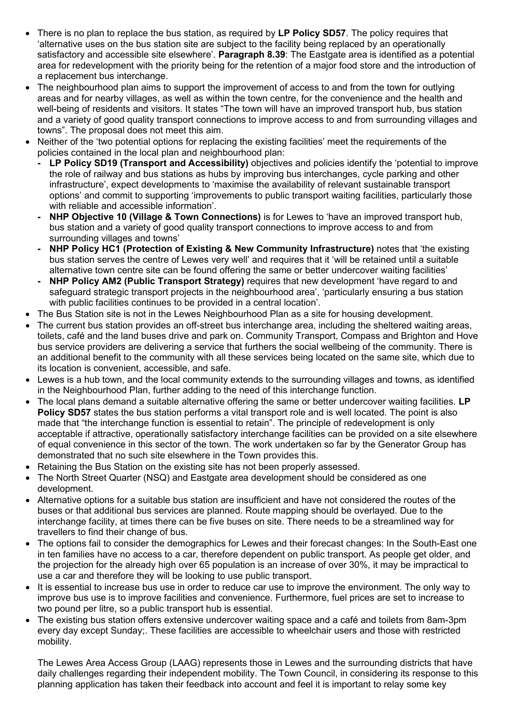- There is no plan to replace the bus station, as required by **LP Policy SD57**. The policy requires that 'alternative uses on the bus station site are subject to the facility being replaced by an operationally satisfactory and accessible site elsewhere'. **Paragraph 8.39**: The Eastgate area is identified as a potential area for redevelopment with the priority being for the retention of a major food store and the introduction of a replacement bus interchange.
- The neighbourhood plan aims to support the improvement of access to and from the town for outlying areas and for nearby villages, as well as within the town centre, for the convenience and the health and well-being of residents and visitors. It states "The town will have an improved transport hub, bus station and a variety of good quality transport connections to improve access to and from surrounding villages and towns". The proposal does not meet this aim.
- Neither of the 'two potential options for replacing the existing facilities' meet the requirements of the policies contained in the local plan and neighbourhood plan:
	- **- LP Policy SD19 (Transport and Accessibility)** objectives and policies identify the 'potential to improve the role of railway and bus stations as hubs by improving bus interchanges, cycle parking and other infrastructure', expect developments to 'maximise the availability of relevant sustainable transport options' and commit to supporting 'improvements to public transport waiting facilities, particularly those with reliable and accessible information'.
	- **- NHP Objective 10 (Village & Town Connections)** is for Lewes to 'have an improved transport hub, bus station and a variety of good quality transport connections to improve access to and from surrounding villages and towns'
	- **- NHP Policy HC1 (Protection of Existing & New Community Infrastructure)** notes that 'the existing bus station serves the centre of Lewes very well' and requires that it 'will be retained until a suitable alternative town centre site can be found offering the same or better undercover waiting facilities'
	- **- NHP Policy AM2 (Public Transport Strategy)** requires that new development 'have regard to and safeguard strategic transport projects in the neighbourhood area', 'particularly ensuring a bus station with public facilities continues to be provided in a central location'.
- The Bus Station site is not in the Lewes Neighbourhood Plan as a site for housing development.
- The current bus station provides an off-street bus interchange area, including the sheltered waiting areas, toilets, café and the land buses drive and park on. Community Transport, Compass and Brighton and Hove bus service providers are delivering a service that furthers the social wellbeing of the community. There is an additional benefit to the community with all these services being located on the same site, which due to its location is convenient, accessible, and safe.
- Lewes is a hub town, and the local community extends to the surrounding villages and towns, as identified in the Neighbourhood Plan, further adding to the need of this interchange function.
- The local plans demand a suitable alternative offering the same or better undercover waiting facilities. **LP**  Policy SD57 states the bus station performs a vital transport role and is well located. The point is also made that "the interchange function is essential to retain". The principle of redevelopment is only acceptable if attractive, operationally satisfactory interchange facilities can be provided on a site elsewhere of equal convenience in this sector of the town. The work undertaken so far by the Generator Group has demonstrated that no such site elsewhere in the Town provides this.
- Retaining the Bus Station on the existing site has not been properly assessed.
- The North Street Quarter (NSQ) and Eastgate area development should be considered as one development.
- Alternative options for a suitable bus station are insufficient and have not considered the routes of the buses or that additional bus services are planned. Route mapping should be overlayed. Due to the interchange facility, at times there can be five buses on site. There needs to be a streamlined way for travellers to find their change of bus.
- The options fail to consider the demographics for Lewes and their forecast changes: In the South-East one in ten families have no access to a car, therefore dependent on public transport. As people get older, and the projection for the already high over 65 population is an increase of over 30%, it may be impractical to use a car and therefore they will be looking to use public transport.
- It is essential to increase bus use in order to reduce car use to improve the environment. The only way to improve bus use is to improve facilities and convenience. Furthermore, fuel prices are set to increase to two pound per litre, so a public transport hub is essential.
- The existing bus station offers extensive undercover waiting space and a café and toilets from 8am-3pm every day except Sunday;. These facilities are accessible to wheelchair users and those with restricted mobility.

The Lewes Area Access Group (LAAG) represents those in Lewes and the surrounding districts that have daily challenges regarding their independent mobility. The Town Council, in considering its response to this planning application has taken their feedback into account and feel it is important to relay some key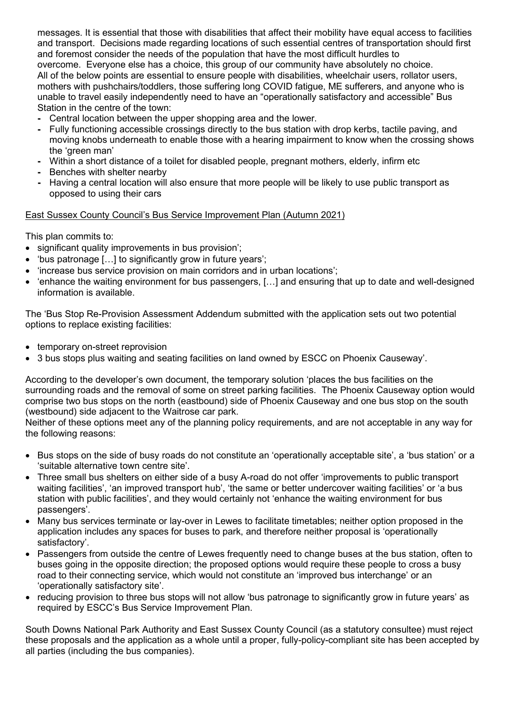messages. It is essential that those with disabilities that affect their mobility have equal access to facilities and transport. Decisions made regarding locations of such essential centres of transportation should first and foremost consider the needs of the population that have the most difficult hurdles to overcome. Everyone else has a choice, this group of our community have absolutely no choice. All of the below points are essential to ensure people with disabilities, wheelchair users, rollator users, mothers with pushchairs/toddlers, those suffering long COVID fatigue, ME sufferers, and anyone who is unable to travel easily independently need to have an "operationally satisfactory and accessible" Bus Station in the centre of the town:

- **-** Central location between the upper shopping area and the lower.
- **-** Fully functioning accessible crossings directly to the bus station with drop kerbs, tactile paving, and moving knobs underneath to enable those with a hearing impairment to know when the crossing shows the 'green man'
- **-** Within a short distance of a toilet for disabled people, pregnant mothers, elderly, infirm etc
- **-** Benches with shelter nearby
- **-** Having a central location will also ensure that more people will be likely to use public transport as opposed to using their cars

#### East Sussex County Council's Bus Service Improvement Plan (Autumn 2021)

This plan commits to:

- significant quality improvements in bus provision';
- 'bus patronage […] to significantly grow in future years';
- 'increase bus service provision on main corridors and in urban locations';
- 'enhance the waiting environment for bus passengers, […] and ensuring that up to date and well-designed information is available.

The 'Bus Stop Re-Provision Assessment Addendum submitted with the application sets out two potential options to replace existing facilities:

- temporary on-street reprovision
- 3 bus stops plus waiting and seating facilities on land owned by ESCC on Phoenix Causeway'.

According to the developer's own document, the temporary solution 'places the bus facilities on the surrounding roads and the removal of some on street parking facilities. The Phoenix Causeway option would comprise two bus stops on the north (eastbound) side of Phoenix Causeway and one bus stop on the south (westbound) side adjacent to the Waitrose car park.

Neither of these options meet any of the planning policy requirements, and are not acceptable in any way for the following reasons:

- Bus stops on the side of busy roads do not constitute an 'operationally acceptable site', a 'bus station' or a 'suitable alternative town centre site'.
- Three small bus shelters on either side of a busy A-road do not offer 'improvements to public transport waiting facilities', 'an improved transport hub', 'the same or better undercover waiting facilities' or 'a bus station with public facilities', and they would certainly not 'enhance the waiting environment for bus passengers'.
- Many bus services terminate or lay-over in Lewes to facilitate timetables; neither option proposed in the application includes any spaces for buses to park, and therefore neither proposal is 'operationally satisfactory'.
- Passengers from outside the centre of Lewes frequently need to change buses at the bus station, often to buses going in the opposite direction; the proposed options would require these people to cross a busy road to their connecting service, which would not constitute an 'improved bus interchange' or an 'operationally satisfactory site'.
- reducing provision to three bus stops will not allow 'bus patronage to significantly grow in future years' as required by ESCC's Bus Service Improvement Plan.

South Downs National Park Authority and East Sussex County Council (as a statutory consultee) must reject these proposals and the application as a whole until a proper, fully-policy-compliant site has been accepted by all parties (including the bus companies).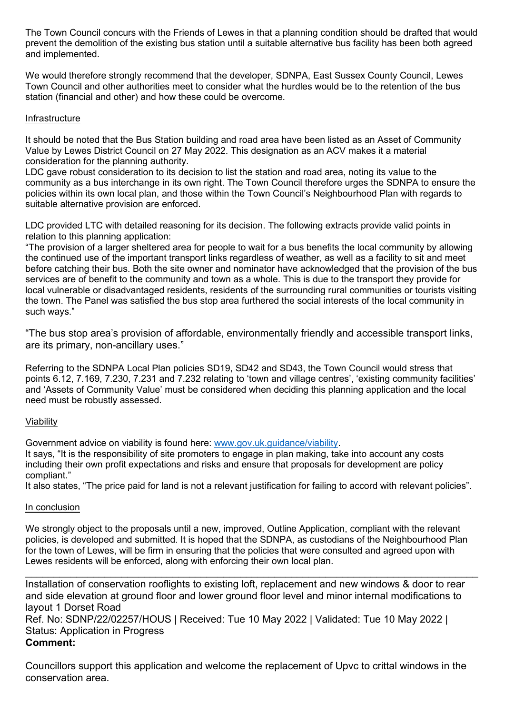The Town Council concurs with the Friends of Lewes in that a planning condition should be drafted that would prevent the demolition of the existing bus station until a suitable alternative bus facility has been both agreed and implemented.

We would therefore strongly recommend that the developer, SDNPA, East Sussex County Council, Lewes Town Council and other authorities meet to consider what the hurdles would be to the retention of the bus station (financial and other) and how these could be overcome.

## Infrastructure

It should be noted that the Bus Station building and road area have been listed as an Asset of Community Value by Lewes District Council on 27 May 2022. This designation as an ACV makes it a material consideration for the planning authority.

LDC gave robust consideration to its decision to list the station and road area, noting its value to the community as a bus interchange in its own right. The Town Council therefore urges the SDNPA to ensure the policies within its own local plan, and those within the Town Council's Neighbourhood Plan with regards to suitable alternative provision are enforced.

LDC provided LTC with detailed reasoning for its decision. The following extracts provide valid points in relation to this planning application:

"The provision of a larger sheltered area for people to wait for a bus benefits the local community by allowing the continued use of the important transport links regardless of weather, as well as a facility to sit and meet before catching their bus. Both the site owner and nominator have acknowledged that the provision of the bus services are of benefit to the community and town as a whole. This is due to the transport they provide for local vulnerable or disadvantaged residents, residents of the surrounding rural communities or tourists visiting the town. The Panel was satisfied the bus stop area furthered the social interests of the local community in such ways."

"The bus stop area's provision of affordable, environmentally friendly and accessible transport links, are its primary, non-ancillary uses."

Referring to the SDNPA Local Plan policies SD19, SD42 and SD43, the Town Council would stress that points 6.12, 7.169, 7.230, 7.231 and 7.232 relating to 'town and village centres', 'existing community facilities' and 'Assets of Community Value' must be considered when deciding this planning application and the local need must be robustly assessed.

#### Viability

Government advice on viability is found here: [www.gov.uk.guidance/viability.](http://www.gov.uk.guidance/viability)

It says, "It is the responsibility of site promoters to engage in plan making, take into account any costs including their own profit expectations and risks and ensure that proposals for development are policy compliant."

It also states, "The price paid for land is not a relevant justification for failing to accord with relevant policies".

#### In conclusion

We strongly object to the proposals until a new, improved, Outline Application, compliant with the relevant policies, is developed and submitted. It is hoped that the SDNPA, as custodians of the Neighbourhood Plan for the town of Lewes, will be firm in ensuring that the policies that were consulted and agreed upon with Lewes residents will be enforced, along with enforcing their own local plan.

\_\_\_\_\_\_\_\_\_\_\_\_\_\_\_\_\_\_\_\_\_\_\_\_\_\_\_\_\_\_\_\_\_\_\_\_\_\_\_\_\_\_\_\_\_\_\_\_\_\_\_\_\_\_\_\_\_\_\_\_\_\_\_\_\_\_\_\_\_\_\_\_\_\_\_\_\_\_\_\_ Installation of conservation rooflights to existing loft, replacement and new windows & door to rear and side elevation at ground floor and lower ground floor level and minor internal modifications to layout 1 Dorset Road

Ref. No: SDNP/22/02257/HOUS | Received: Tue 10 May 2022 | Validated: Tue 10 May 2022 | Status: Application in Progress **Comment:**

Councillors support this application and welcome the replacement of Upvc to crittal windows in the conservation area.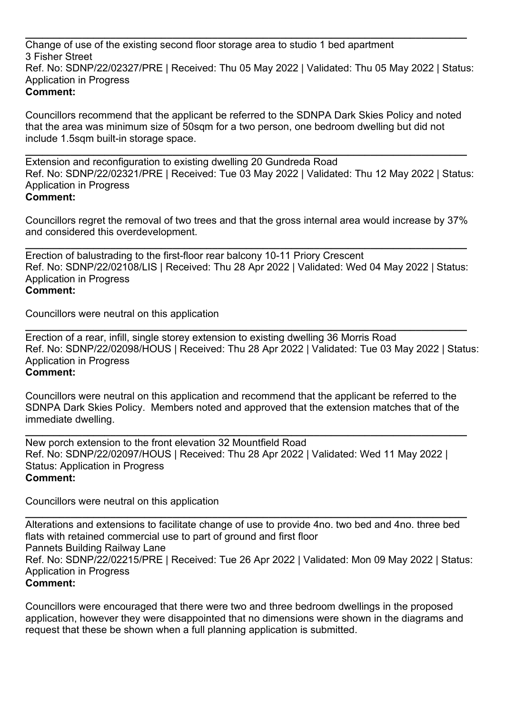**\_\_\_\_\_\_\_\_\_\_\_\_\_\_\_\_\_\_\_\_\_\_\_\_\_\_\_\_\_\_\_\_\_\_\_\_\_\_\_\_\_\_\_\_\_\_\_\_\_\_\_\_\_\_\_\_\_\_\_\_\_\_\_\_\_\_\_\_\_\_\_\_\_\_\_\_\_\_** Change of use of the existing second floor storage area to studio 1 bed apartment 3 Fisher Street Ref. No: SDNP/22/02327/PRE | Received: Thu 05 May 2022 | Validated: Thu 05 May 2022 | Status: Application in Progress **Comment:**

Councillors recommend that the applicant be referred to the SDNPA Dark Skies Policy and noted that the area was minimum size of 50sqm for a two person, one bedroom dwelling but did not include 1.5sqm built-in storage space.

**\_\_\_\_\_\_\_\_\_\_\_\_\_\_\_\_\_\_\_\_\_\_\_\_\_\_\_\_\_\_\_\_\_\_\_\_\_\_\_\_\_\_\_\_\_\_\_\_\_\_\_\_\_\_\_\_\_\_\_\_\_\_\_\_\_\_\_\_\_\_\_\_\_\_\_\_\_\_** Extension and reconfiguration to existing dwelling 20 Gundreda Road Ref. No: SDNP/22/02321/PRE | Received: Tue 03 May 2022 | Validated: Thu 12 May 2022 | Status: Application in Progress **Comment:**

Councillors regret the removal of two trees and that the gross internal area would increase by 37% and considered this overdevelopment.

**\_\_\_\_\_\_\_\_\_\_\_\_\_\_\_\_\_\_\_\_\_\_\_\_\_\_\_\_\_\_\_\_\_\_\_\_\_\_\_\_\_\_\_\_\_\_\_\_\_\_\_\_\_\_\_\_\_\_\_\_\_\_\_\_\_\_\_\_\_\_\_\_\_\_\_\_\_\_** Erection of balustrading to the first-floor rear balcony 10-11 Priory Crescent Ref. No: SDNP/22/02108/LIS | Received: Thu 28 Apr 2022 | Validated: Wed 04 May 2022 | Status: Application in Progress **Comment:**

Councillors were neutral on this application

**\_\_\_\_\_\_\_\_\_\_\_\_\_\_\_\_\_\_\_\_\_\_\_\_\_\_\_\_\_\_\_\_\_\_\_\_\_\_\_\_\_\_\_\_\_\_\_\_\_\_\_\_\_\_\_\_\_\_\_\_\_\_\_\_\_\_\_\_\_\_\_\_\_\_\_\_\_\_** Erection of a rear, infill, single storey extension to existing dwelling 36 Morris Road Ref. No: SDNP/22/02098/HOUS | Received: Thu 28 Apr 2022 | Validated: Tue 03 May 2022 | Status: Application in Progress **Comment:**

Councillors were neutral on this application and recommend that the applicant be referred to the SDNPA Dark Skies Policy. Members noted and approved that the extension matches that of the immediate dwelling.

**\_\_\_\_\_\_\_\_\_\_\_\_\_\_\_\_\_\_\_\_\_\_\_\_\_\_\_\_\_\_\_\_\_\_\_\_\_\_\_\_\_\_\_\_\_\_\_\_\_\_\_\_\_\_\_\_\_\_\_\_\_\_\_\_\_\_\_\_\_\_\_\_\_\_\_\_\_\_** New porch extension to the front elevation 32 Mountfield Road Ref. No: SDNP/22/02097/HOUS | Received: Thu 28 Apr 2022 | Validated: Wed 11 May 2022 | Status: Application in Progress **Comment:**

Councillors were neutral on this application

**\_\_\_\_\_\_\_\_\_\_\_\_\_\_\_\_\_\_\_\_\_\_\_\_\_\_\_\_\_\_\_\_\_\_\_\_\_\_\_\_\_\_\_\_\_\_\_\_\_\_\_\_\_\_\_\_\_\_\_\_\_\_\_\_\_\_\_\_\_\_\_\_\_\_\_\_\_\_** Alterations and extensions to facilitate change of use to provide 4no. two bed and 4no. three bed flats with retained commercial use to part of ground and first floor Pannets Building Railway Lane Ref. No: SDNP/22/02215/PRE | Received: Tue 26 Apr 2022 | Validated: Mon 09 May 2022 | Status: Application in Progress **Comment:**

Councillors were encouraged that there were two and three bedroom dwellings in the proposed application, however they were disappointed that no dimensions were shown in the diagrams and request that these be shown when a full planning application is submitted.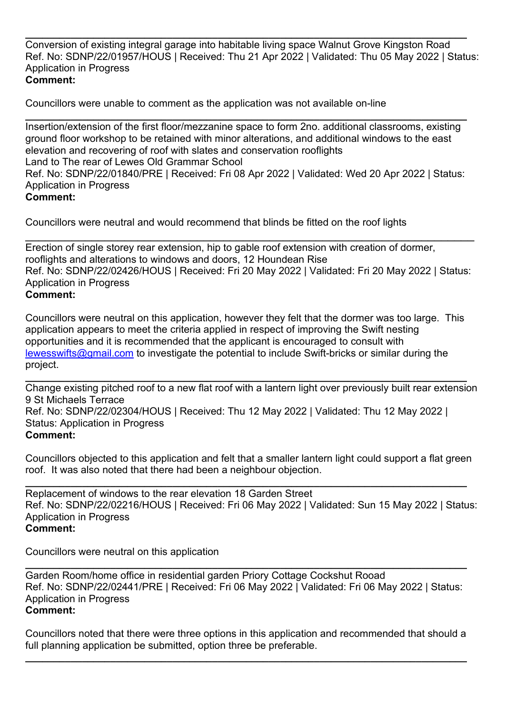**\_\_\_\_\_\_\_\_\_\_\_\_\_\_\_\_\_\_\_\_\_\_\_\_\_\_\_\_\_\_\_\_\_\_\_\_\_\_\_\_\_\_\_\_\_\_\_\_\_\_\_\_\_\_\_\_\_\_\_\_\_\_\_\_\_\_\_\_\_\_\_\_\_\_\_\_\_\_** Conversion of existing integral garage into habitable living space Walnut Grove Kingston Road Ref. No: SDNP/22/01957/HOUS | Received: Thu 21 Apr 2022 | Validated: Thu 05 May 2022 | Status: Application in Progress **Comment:**

Councillors were unable to comment as the application was not available on-line

**\_\_\_\_\_\_\_\_\_\_\_\_\_\_\_\_\_\_\_\_\_\_\_\_\_\_\_\_\_\_\_\_\_\_\_\_\_\_\_\_\_\_\_\_\_\_\_\_\_\_\_\_\_\_\_\_\_\_\_\_\_\_\_\_\_\_\_\_\_\_\_\_\_\_\_\_\_\_** Insertion/extension of the first floor/mezzanine space to form 2no. additional classrooms, existing ground floor workshop to be retained with minor alterations, and additional windows to the east elevation and recovering of roof with slates and conservation rooflights Land to The rear of Lewes Old Grammar School Ref. No: SDNP/22/01840/PRE | Received: Fri 08 Apr 2022 | Validated: Wed 20 Apr 2022 | Status: Application in Progress **Comment:**

Councillors were neutral and would recommend that blinds be fitted on the roof lights

\_\_\_\_\_\_\_\_\_\_\_\_\_\_\_\_\_\_\_\_\_\_\_\_\_\_\_\_\_\_\_\_\_\_\_\_\_\_\_\_\_\_\_\_\_\_\_\_\_\_\_\_\_\_\_\_\_\_\_\_\_\_\_\_\_\_\_\_ Erection of single storey rear extension, hip to gable roof extension with creation of dormer, rooflights and alterations to windows and doors, 12 Houndean Rise Ref. No: SDNP/22/02426/HOUS | Received: Fri 20 May 2022 | Validated: Fri 20 May 2022 | Status: Application in Progress **Comment:**

Councillors were neutral on this application, however they felt that the dormer was too large. This application appears to meet the criteria applied in respect of improving the Swift nesting opportunities and it is recommended that the applicant is encouraged to consult with [lewesswifts@gmail.com](mailto:lewesswifts@gmail.com) to investigate the potential to include Swift-bricks or similar during the project.

**\_\_\_\_\_\_\_\_\_\_\_\_\_\_\_\_\_\_\_\_\_\_\_\_\_\_\_\_\_\_\_\_\_\_\_\_\_\_\_\_\_\_\_\_\_\_\_\_\_\_\_\_\_\_\_\_\_\_\_\_\_\_\_\_\_\_\_\_\_\_\_\_\_\_\_\_\_\_** Change existing pitched roof to a new flat roof with a lantern light over previously built rear extension 9 St Michaels Terrace

Ref. No: SDNP/22/02304/HOUS | Received: Thu 12 May 2022 | Validated: Thu 12 May 2022 | Status: Application in Progress **Comment:**

Councillors objected to this application and felt that a smaller lantern light could support a flat green roof. It was also noted that there had been a neighbour objection.

**\_\_\_\_\_\_\_\_\_\_\_\_\_\_\_\_\_\_\_\_\_\_\_\_\_\_\_\_\_\_\_\_\_\_\_\_\_\_\_\_\_\_\_\_\_\_\_\_\_\_\_\_\_\_\_\_\_\_\_\_\_\_\_\_\_\_\_\_\_\_\_\_\_\_\_\_\_\_** Replacement of windows to the rear elevation 18 Garden Street Ref. No: SDNP/22/02216/HOUS | Received: Fri 06 May 2022 | Validated: Sun 15 May 2022 | Status: Application in Progress **Comment:**

Councillors were neutral on this application

**\_\_\_\_\_\_\_\_\_\_\_\_\_\_\_\_\_\_\_\_\_\_\_\_\_\_\_\_\_\_\_\_\_\_\_\_\_\_\_\_\_\_\_\_\_\_\_\_\_\_\_\_\_\_\_\_\_\_\_\_\_\_\_\_\_\_\_\_\_\_\_\_\_\_\_\_\_\_** Garden Room/home office in residential garden Priory Cottage Cockshut Rooad Ref. No: SDNP/22/02441/PRE | Received: Fri 06 May 2022 | Validated: Fri 06 May 2022 | Status: Application in Progress **Comment:**

Councillors noted that there were three options in this application and recommended that should a full planning application be submitted, option three be preferable.

**\_\_\_\_\_\_\_\_\_\_\_\_\_\_\_\_\_\_\_\_\_\_\_\_\_\_\_\_\_\_\_\_\_\_\_\_\_\_\_\_\_\_\_\_\_\_\_\_\_\_\_\_\_\_\_\_\_\_\_\_\_\_\_\_\_\_\_\_\_\_\_\_\_\_\_\_\_\_**